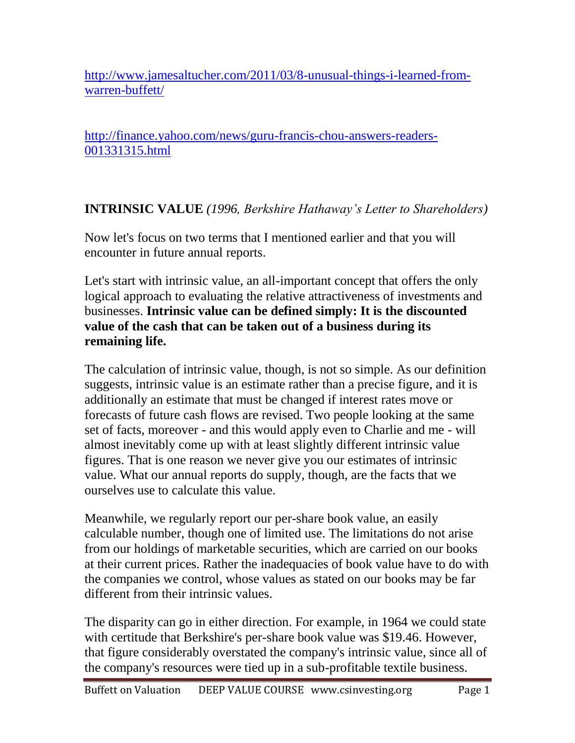[http://www.jamesaltucher.com/2011/03/8-unusual-things-i-learned-from](http://www.jamesaltucher.com/2011/03/8-unusual-things-i-learned-from-warren-buffett/)[warren-buffett/](http://www.jamesaltucher.com/2011/03/8-unusual-things-i-learned-from-warren-buffett/)

[http://finance.yahoo.com/news/guru-francis-chou-answers-readers-](http://finance.yahoo.com/news/guru-francis-chou-answers-readers-001331315.html)[001331315.html](http://finance.yahoo.com/news/guru-francis-chou-answers-readers-001331315.html)

## **INTRINSIC VALUE** *(1996, Berkshire Hathaway's Letter to Shareholders)*

Now let's focus on two terms that I mentioned earlier and that you will encounter in future annual reports.

Let's start with intrinsic value, an all-important concept that offers the only logical approach to evaluating the relative attractiveness of investments and businesses. **Intrinsic value can be defined simply: It is the discounted value of the cash that can be taken out of a business during its remaining life.** 

The calculation of intrinsic value, though, is not so simple. As our definition suggests, intrinsic value is an estimate rather than a precise figure, and it is additionally an estimate that must be changed if interest rates move or forecasts of future cash flows are revised. Two people looking at the same set of facts, moreover - and this would apply even to Charlie and me - will almost inevitably come up with at least slightly different intrinsic value figures. That is one reason we never give you our estimates of intrinsic value. What our annual reports do supply, though, are the facts that we ourselves use to calculate this value.

Meanwhile, we regularly report our per-share book value, an easily calculable number, though one of limited use. The limitations do not arise from our holdings of marketable securities, which are carried on our books at their current prices. Rather the inadequacies of book value have to do with the companies we control, whose values as stated on our books may be far different from their intrinsic values.

The disparity can go in either direction. For example, in 1964 we could state with certitude that Berkshire's per-share book value was \$19.46. However, that figure considerably overstated the company's intrinsic value, since all of the company's resources were tied up in a sub-profitable textile business.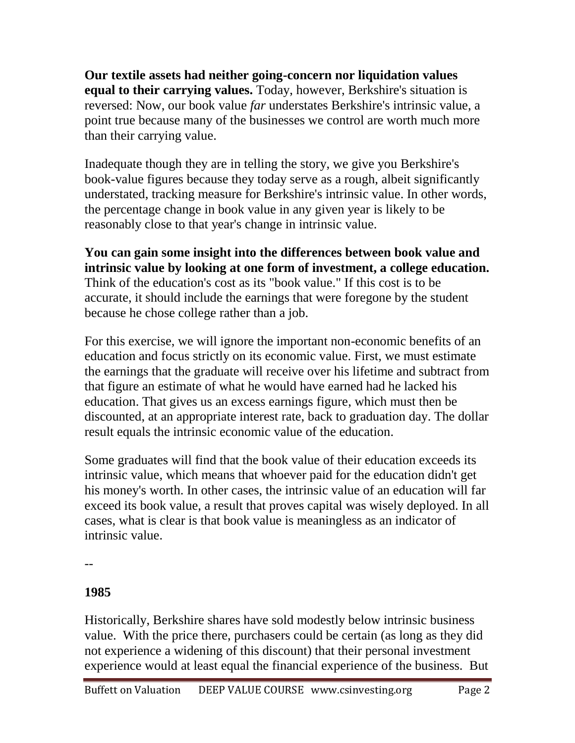**Our textile assets had neither going-concern nor liquidation values equal to their carrying values.** Today, however, Berkshire's situation is reversed: Now, our book value *far* understates Berkshire's intrinsic value, a point true because many of the businesses we control are worth much more than their carrying value.

Inadequate though they are in telling the story, we give you Berkshire's book-value figures because they today serve as a rough, albeit significantly understated, tracking measure for Berkshire's intrinsic value. In other words, the percentage change in book value in any given year is likely to be reasonably close to that year's change in intrinsic value.

**You can gain some insight into the differences between book value and intrinsic value by looking at one form of investment, a college education.** Think of the education's cost as its "book value." If this cost is to be accurate, it should include the earnings that were foregone by the student because he chose college rather than a job.

For this exercise, we will ignore the important non-economic benefits of an education and focus strictly on its economic value. First, we must estimate the earnings that the graduate will receive over his lifetime and subtract from that figure an estimate of what he would have earned had he lacked his education. That gives us an excess earnings figure, which must then be discounted, at an appropriate interest rate, back to graduation day. The dollar result equals the intrinsic economic value of the education.

Some graduates will find that the book value of their education exceeds its intrinsic value, which means that whoever paid for the education didn't get his money's worth. In other cases, the intrinsic value of an education will far exceed its book value, a result that proves capital was wisely deployed. In all cases, what is clear is that book value is meaningless as an indicator of intrinsic value.

--

## **1985**

Historically, Berkshire shares have sold modestly below intrinsic business value. With the price there, purchasers could be certain (as long as they did not experience a widening of this discount) that their personal investment experience would at least equal the financial experience of the business. But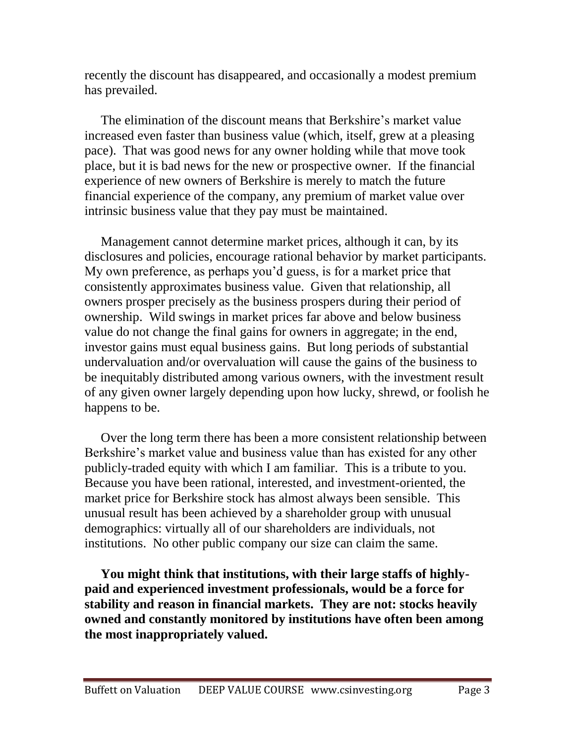recently the discount has disappeared, and occasionally a modest premium has prevailed.

 The elimination of the discount means that Berkshire's market value increased even faster than business value (which, itself, grew at a pleasing pace). That was good news for any owner holding while that move took place, but it is bad news for the new or prospective owner. If the financial experience of new owners of Berkshire is merely to match the future financial experience of the company, any premium of market value over intrinsic business value that they pay must be maintained.

 Management cannot determine market prices, although it can, by its disclosures and policies, encourage rational behavior by market participants. My own preference, as perhaps you'd guess, is for a market price that consistently approximates business value. Given that relationship, all owners prosper precisely as the business prospers during their period of ownership. Wild swings in market prices far above and below business value do not change the final gains for owners in aggregate; in the end, investor gains must equal business gains. But long periods of substantial undervaluation and/or overvaluation will cause the gains of the business to be inequitably distributed among various owners, with the investment result of any given owner largely depending upon how lucky, shrewd, or foolish he happens to be.

 Over the long term there has been a more consistent relationship between Berkshire's market value and business value than has existed for any other publicly-traded equity with which I am familiar. This is a tribute to you. Because you have been rational, interested, and investment-oriented, the market price for Berkshire stock has almost always been sensible. This unusual result has been achieved by a shareholder group with unusual demographics: virtually all of our shareholders are individuals, not institutions. No other public company our size can claim the same.

 **You might think that institutions, with their large staffs of highlypaid and experienced investment professionals, would be a force for stability and reason in financial markets. They are not: stocks heavily owned and constantly monitored by institutions have often been among the most inappropriately valued.**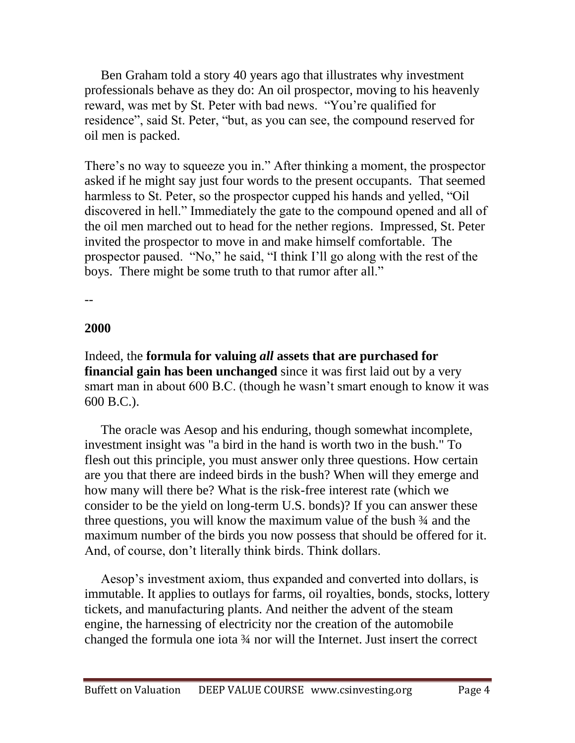Ben Graham told a story 40 years ago that illustrates why investment professionals behave as they do: An oil prospector, moving to his heavenly reward, was met by St. Peter with bad news. "You're qualified for residence", said St. Peter, "but, as you can see, the compound reserved for oil men is packed.

There's no way to squeeze you in." After thinking a moment, the prospector asked if he might say just four words to the present occupants. That seemed harmless to St. Peter, so the prospector cupped his hands and yelled, "Oil discovered in hell." Immediately the gate to the compound opened and all of the oil men marched out to head for the nether regions. Impressed, St. Peter invited the prospector to move in and make himself comfortable. The prospector paused. "No," he said, "I think I'll go along with the rest of the boys. There might be some truth to that rumor after all."

--

## **2000**

Indeed, the **formula for valuing** *all* **assets that are purchased for financial gain has been unchanged** since it was first laid out by a very smart man in about 600 B.C. (though he wasn't smart enough to know it was 600 B.C.).

 The oracle was Aesop and his enduring, though somewhat incomplete, investment insight was "a bird in the hand is worth two in the bush." To flesh out this principle, you must answer only three questions. How certain are you that there are indeed birds in the bush? When will they emerge and how many will there be? What is the risk-free interest rate (which we consider to be the yield on long-term U.S. bonds)? If you can answer these three questions, you will know the maximum value of the bush ¾ and the maximum number of the birds you now possess that should be offered for it. And, of course, don't literally think birds. Think dollars.

 Aesop's investment axiom, thus expanded and converted into dollars, is immutable. It applies to outlays for farms, oil royalties, bonds, stocks, lottery tickets, and manufacturing plants. And neither the advent of the steam engine, the harnessing of electricity nor the creation of the automobile changed the formula one iota ¾ nor will the Internet. Just insert the correct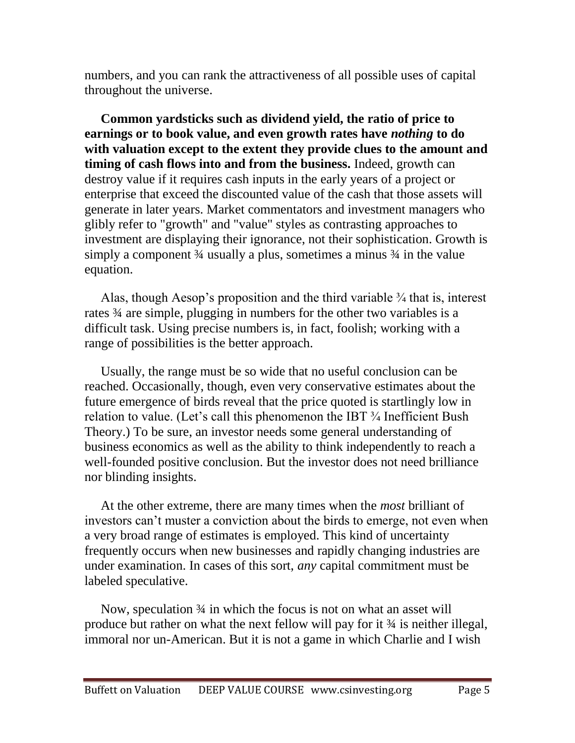numbers, and you can rank the attractiveness of all possible uses of capital throughout the universe.

 **Common yardsticks such as dividend yield, the ratio of price to earnings or to book value, and even growth rates have** *nothing* **to do with valuation except to the extent they provide clues to the amount and timing of cash flows into and from the business.** Indeed, growth can destroy value if it requires cash inputs in the early years of a project or enterprise that exceed the discounted value of the cash that those assets will generate in later years. Market commentators and investment managers who glibly refer to "growth" and "value" styles as contrasting approaches to investment are displaying their ignorance, not their sophistication. Growth is simply a component 34 usually a plus, sometimes a minus 34 in the value equation.

 Alas, though Aesop's proposition and the third variable ¾ that is, interest rates ¾ are simple, plugging in numbers for the other two variables is a difficult task. Using precise numbers is, in fact, foolish; working with a range of possibilities is the better approach.

 Usually, the range must be so wide that no useful conclusion can be reached. Occasionally, though, even very conservative estimates about the future emergence of birds reveal that the price quoted is startlingly low in relation to value. (Let's call this phenomenon the IBT ¾ Inefficient Bush Theory.) To be sure, an investor needs some general understanding of business economics as well as the ability to think independently to reach a well-founded positive conclusion. But the investor does not need brilliance nor blinding insights.

 At the other extreme, there are many times when the *most* brilliant of investors can't muster a conviction about the birds to emerge, not even when a very broad range of estimates is employed. This kind of uncertainty frequently occurs when new businesses and rapidly changing industries are under examination. In cases of this sort, *any* capital commitment must be labeled speculative.

Now, speculation  $\frac{3}{4}$  in which the focus is not on what an asset will produce but rather on what the next fellow will pay for it ¾ is neither illegal, immoral nor un-American. But it is not a game in which Charlie and I wish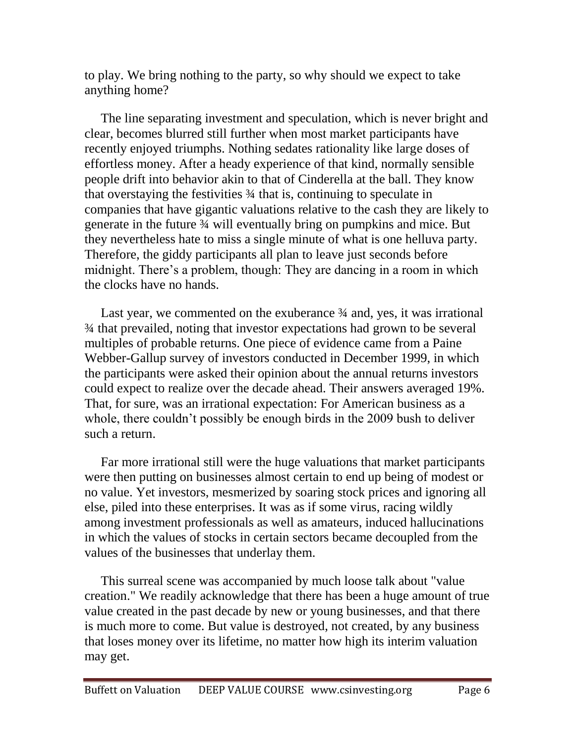to play. We bring nothing to the party, so why should we expect to take anything home?

 The line separating investment and speculation, which is never bright and clear, becomes blurred still further when most market participants have recently enjoyed triumphs. Nothing sedates rationality like large doses of effortless money. After a heady experience of that kind, normally sensible people drift into behavior akin to that of Cinderella at the ball. They know that overstaying the festivities ¾ that is, continuing to speculate in companies that have gigantic valuations relative to the cash they are likely to generate in the future ¾ will eventually bring on pumpkins and mice. But they nevertheless hate to miss a single minute of what is one helluva party. Therefore, the giddy participants all plan to leave just seconds before midnight. There's a problem, though: They are dancing in a room in which the clocks have no hands.

Last year, we commented on the exuberance  $\frac{3}{4}$  and, yes, it was irrational ¾ that prevailed, noting that investor expectations had grown to be several multiples of probable returns. One piece of evidence came from a Paine Webber-Gallup survey of investors conducted in December 1999, in which the participants were asked their opinion about the annual returns investors could expect to realize over the decade ahead. Their answers averaged 19%. That, for sure, was an irrational expectation: For American business as a whole, there couldn't possibly be enough birds in the 2009 bush to deliver such a return.

 Far more irrational still were the huge valuations that market participants were then putting on businesses almost certain to end up being of modest or no value. Yet investors, mesmerized by soaring stock prices and ignoring all else, piled into these enterprises. It was as if some virus, racing wildly among investment professionals as well as amateurs, induced hallucinations in which the values of stocks in certain sectors became decoupled from the values of the businesses that underlay them.

 This surreal scene was accompanied by much loose talk about "value creation." We readily acknowledge that there has been a huge amount of true value created in the past decade by new or young businesses, and that there is much more to come. But value is destroyed, not created, by any business that loses money over its lifetime, no matter how high its interim valuation may get.